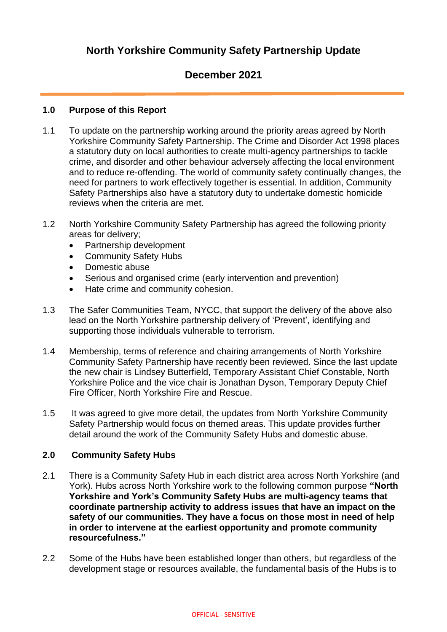# **North Yorkshire Community Safety Partnership Update**

## **December 2021**

#### **1.0 Purpose of this Report**

- 1.1 To update on the partnership working around the priority areas agreed by North Yorkshire Community Safety Partnership. The Crime and Disorder Act 1998 places a statutory duty on local authorities to create multi-agency partnerships to tackle crime, and disorder and other behaviour adversely affecting the local environment and to reduce re-offending. The world of community safety continually changes, the need for partners to work effectively together is essential. In addition, Community Safety Partnerships also have a statutory duty to undertake domestic homicide reviews when the criteria are met.
- 1.2 North Yorkshire Community Safety Partnership has agreed the following priority areas for delivery;
	- Partnership development
	- Community Safety Hubs
	- Domestic abuse
	- Serious and organised crime (early intervention and prevention)
	- Hate crime and community cohesion.
- 1.3 The Safer Communities Team, NYCC, that support the delivery of the above also lead on the North Yorkshire partnership delivery of 'Prevent', identifying and supporting those individuals vulnerable to terrorism.
- 1.4 Membership, terms of reference and chairing arrangements of North Yorkshire Community Safety Partnership have recently been reviewed. Since the last update the new chair is Lindsey Butterfield, Temporary Assistant Chief Constable, North Yorkshire Police and the vice chair is Jonathan Dyson, Temporary Deputy Chief Fire Officer, North Yorkshire Fire and Rescue.
- 1.5 It was agreed to give more detail, the updates from North Yorkshire Community Safety Partnership would focus on themed areas. This update provides further detail around the work of the Community Safety Hubs and domestic abuse.

### **2.0 Community Safety Hubs**

- 2.1 There is a Community Safety Hub in each district area across North Yorkshire (and York). Hubs across North Yorkshire work to the following common purpose **"North Yorkshire and York's Community Safety Hubs are multi-agency teams that coordinate partnership activity to address issues that have an impact on the safety of our communities. They have a focus on those most in need of help in order to intervene at the earliest opportunity and promote community resourcefulness."**
- 2.2 Some of the Hubs have been established longer than others, but regardless of the development stage or resources available, the fundamental basis of the Hubs is to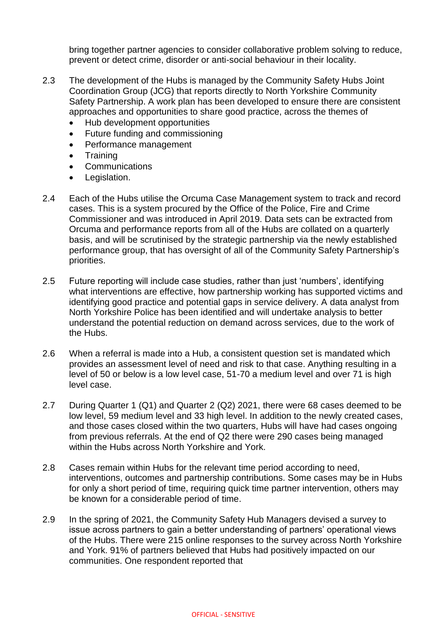bring together partner agencies to consider collaborative problem solving to reduce, prevent or detect crime, disorder or anti-social behaviour in their locality.

- 2.3 The development of the Hubs is managed by the Community Safety Hubs Joint Coordination Group (JCG) that reports directly to North Yorkshire Community Safety Partnership. A work plan has been developed to ensure there are consistent approaches and opportunities to share good practice, across the themes of
	- Hub development opportunities
	- Future funding and commissioning
	- Performance management
	- **Training**
	- Communications
	- Legislation.
- 2.4 Each of the Hubs utilise the Orcuma Case Management system to track and record cases. This is a system procured by the Office of the Police, Fire and Crime Commissioner and was introduced in April 2019. Data sets can be extracted from Orcuma and performance reports from all of the Hubs are collated on a quarterly basis, and will be scrutinised by the strategic partnership via the newly established performance group, that has oversight of all of the Community Safety Partnership's priorities.
- 2.5 Future reporting will include case studies, rather than just 'numbers', identifying what interventions are effective, how partnership working has supported victims and identifying good practice and potential gaps in service delivery. A data analyst from North Yorkshire Police has been identified and will undertake analysis to better understand the potential reduction on demand across services, due to the work of the Hubs.
- 2.6 When a referral is made into a Hub, a consistent question set is mandated which provides an assessment level of need and risk to that case. Anything resulting in a level of 50 or below is a low level case, 51-70 a medium level and over 71 is high level case.
- 2.7 During Quarter 1 (Q1) and Quarter 2 (Q2) 2021, there were 68 cases deemed to be low level, 59 medium level and 33 high level. In addition to the newly created cases, and those cases closed within the two quarters, Hubs will have had cases ongoing from previous referrals. At the end of Q2 there were 290 cases being managed within the Hubs across North Yorkshire and York.
- 2.8 Cases remain within Hubs for the relevant time period according to need, interventions, outcomes and partnership contributions. Some cases may be in Hubs for only a short period of time, requiring quick time partner intervention, others may be known for a considerable period of time.
- 2.9 In the spring of 2021, the Community Safety Hub Managers devised a survey to issue across partners to gain a better understanding of partners' operational views of the Hubs. There were 215 online responses to the survey across North Yorkshire and York. 91% of partners believed that Hubs had positively impacted on our communities. One respondent reported that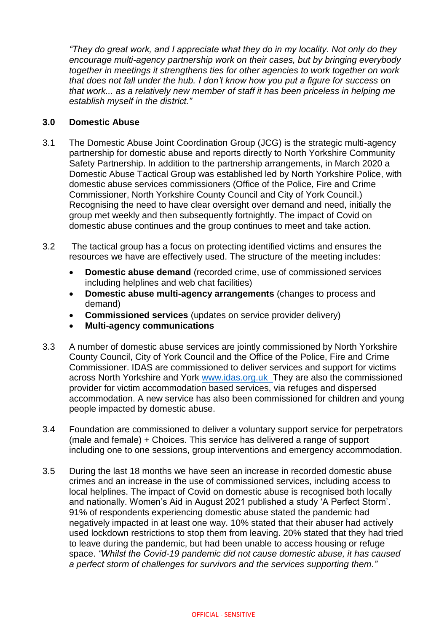*"They do great work, and I appreciate what they do in my locality. Not only do they encourage multi-agency partnership work on their cases, but by bringing everybody together in meetings it strengthens ties for other agencies to work together on work that does not fall under the hub. I don't know how you put a figure for success on that work... as a relatively new member of staff it has been priceless in helping me establish myself in the district."*

#### **3.0 Domestic Abuse**

- 3.1 The Domestic Abuse Joint Coordination Group (JCG) is the strategic multi-agency partnership for domestic abuse and reports directly to North Yorkshire Community Safety Partnership. In addition to the partnership arrangements, in March 2020 a Domestic Abuse Tactical Group was established led by North Yorkshire Police, with domestic abuse services commissioners (Office of the Police, Fire and Crime Commissioner, North Yorkshire County Council and City of York Council.) Recognising the need to have clear oversight over demand and need, initially the group met weekly and then subsequently fortnightly. The impact of Covid on domestic abuse continues and the group continues to meet and take action.
- 3.2 The tactical group has a focus on protecting identified victims and ensures the resources we have are effectively used. The structure of the meeting includes:
	- **Domestic abuse demand** (recorded crime, use of commissioned services including helplines and web chat facilities)
	- **Domestic abuse multi-agency arrangements** (changes to process and demand)
	- **Commissioned services** (updates on service provider delivery)
	- **Multi-agency communications**
- 3.3 A number of domestic abuse services are jointly commissioned by North Yorkshire County Council, City of York Council and the Office of the Police, Fire and Crime Commissioner. IDAS are commissioned to deliver services and support for victims across North Yorkshire and York [www.idas.org.uk](http://www.idas.org.uk/) They are also the commissioned provider for victim accommodation based services, via refuges and dispersed accommodation. A new service has also been commissioned for children and young people impacted by domestic abuse.
- 3.4 Foundation are commissioned to deliver a voluntary support service for perpetrators (male and female) + Choices. This service has delivered a range of support including one to one sessions, group interventions and emergency accommodation.
- 3.5 During the last 18 months we have seen an increase in recorded domestic abuse crimes and an increase in the use of commissioned services, including access to local helplines. The impact of Covid on domestic abuse is recognised both locally and nationally. Women's Aid in August 2021 published a study 'A Perfect Storm'. 91% of respondents experiencing domestic abuse stated the pandemic had negatively impacted in at least one way. 10% stated that their abuser had actively used lockdown restrictions to stop them from leaving. 20% stated that they had tried to leave during the pandemic, but had been unable to access housing or refuge space. *"Whilst the Covid-19 pandemic did not cause domestic abuse, it has caused a perfect storm of challenges for survivors and the services supporting them."*